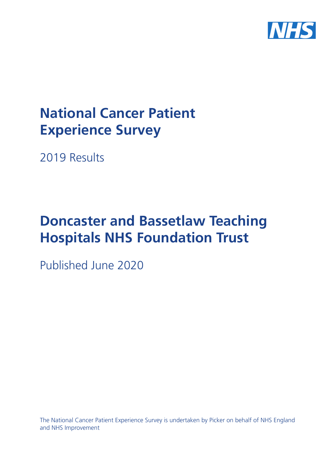

# **National Cancer Patient Experience Survey**

2019 Results

# **Doncaster and Bassetlaw Teaching Hospitals NHS Foundation Trust**

Published June 2020

The National Cancer Patient Experience Survey is undertaken by Picker on behalf of NHS England and NHS Improvement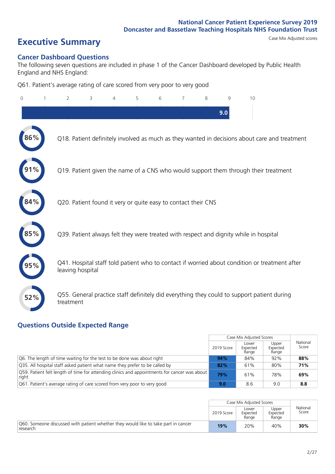# **Executive Summary** Case Mix Adjusted scores

#### **Cancer Dashboard Questions**

The following seven questions are included in phase 1 of the Cancer Dashboard developed by Public Health England and NHS England:

Q61. Patient's average rating of care scored from very poor to very good

| 0   | $\overline{2}$                                                | 3 | 4 | 5 | 6 | 7 | 8 | 9   | 10                                                                                            |  |
|-----|---------------------------------------------------------------|---|---|---|---|---|---|-----|-----------------------------------------------------------------------------------------------|--|
|     |                                                               |   |   |   |   |   |   | 9.0 |                                                                                               |  |
| 86% |                                                               |   |   |   |   |   |   |     | Q18. Patient definitely involved as much as they wanted in decisions about care and treatment |  |
|     |                                                               |   |   |   |   |   |   |     | Q19. Patient given the name of a CNS who would support them through their treatment           |  |
| 84% | Q20. Patient found it very or quite easy to contact their CNS |   |   |   |   |   |   |     |                                                                                               |  |
|     |                                                               |   |   |   |   |   |   |     | Q39. Patient always felt they were treated with respect and dignity while in hospital         |  |
| 95% | leaving hospital                                              |   |   |   |   |   |   |     | Q41. Hospital staff told patient who to contact if worried about condition or treatment after |  |
| 52% | treatment                                                     |   |   |   |   |   |   |     | Q55. General practice staff definitely did everything they could to support patient during    |  |

### **Questions Outside Expected Range**

|                                                                                                       |            | Case Mix Adjusted Scores   |                            |                   |
|-------------------------------------------------------------------------------------------------------|------------|----------------------------|----------------------------|-------------------|
|                                                                                                       | 2019 Score | Lower<br>Expected<br>Range | Upper<br>Expected<br>Range | National<br>Score |
| Q6. The length of time waiting for the test to be done was about right                                | 94%        | 84%                        | 92%                        | 88%               |
| Q35. All hospital staff asked patient what name they prefer to be called by                           | 82%        | 61%                        | 80%                        | 71%               |
| Q59. Patient felt length of time for attending clinics and appointments for cancer was about<br>right | 79%        | 61%                        | 78%                        | 69%               |
| Q61. Patient's average rating of care scored from very poor to very good                              | 9.0        | 8.6                        | 9.0                        | 8.8               |

|                                                                                                |            | Case Mix Adjusted Scores   |                            |                   |
|------------------------------------------------------------------------------------------------|------------|----------------------------|----------------------------|-------------------|
|                                                                                                | 2019 Score | Lower<br>Expected<br>Range | Upper<br>Expected<br>Range | National<br>Score |
| Q60. Someone discussed with patient whether they would like to take part in cancer<br>research | 19%        | 20%                        | 40%                        | 30%               |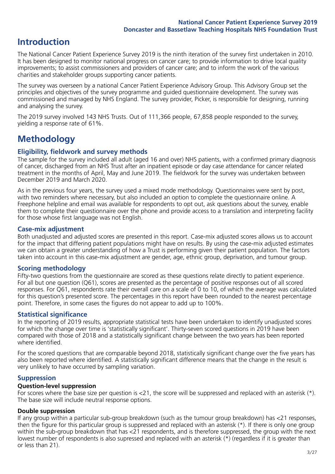# **Introduction**

The National Cancer Patient Experience Survey 2019 is the ninth iteration of the survey first undertaken in 2010. It has been designed to monitor national progress on cancer care; to provide information to drive local quality improvements; to assist commissioners and providers of cancer care; and to inform the work of the various charities and stakeholder groups supporting cancer patients.

The survey was overseen by a national Cancer Patient Experience Advisory Group. This Advisory Group set the principles and objectives of the survey programme and guided questionnaire development. The survey was commissioned and managed by NHS England. The survey provider, Picker, is responsible for designing, running and analysing the survey.

The 2019 survey involved 143 NHS Trusts. Out of 111,366 people, 67,858 people responded to the survey, yielding a response rate of 61%.

# **Methodology**

#### **Eligibility, eldwork and survey methods**

The sample for the survey included all adult (aged 16 and over) NHS patients, with a confirmed primary diagnosis of cancer, discharged from an NHS Trust after an inpatient episode or day case attendance for cancer related treatment in the months of April, May and June 2019. The fieldwork for the survey was undertaken between December 2019 and March 2020.

As in the previous four years, the survey used a mixed mode methodology. Questionnaires were sent by post, with two reminders where necessary, but also included an option to complete the questionnaire online. A Freephone helpline and email was available for respondents to opt out, ask questions about the survey, enable them to complete their questionnaire over the phone and provide access to a translation and interpreting facility for those whose first language was not English.

#### **Case-mix adjustment**

Both unadjusted and adjusted scores are presented in this report. Case-mix adjusted scores allows us to account for the impact that differing patient populations might have on results. By using the case-mix adjusted estimates we can obtain a greater understanding of how a Trust is performing given their patient population. The factors taken into account in this case-mix adjustment are gender, age, ethnic group, deprivation, and tumour group.

#### **Scoring methodology**

Fifty-two questions from the questionnaire are scored as these questions relate directly to patient experience. For all but one question (Q61), scores are presented as the percentage of positive responses out of all scored responses. For Q61, respondents rate their overall care on a scale of 0 to 10, of which the average was calculated for this question's presented score. The percentages in this report have been rounded to the nearest percentage point. Therefore, in some cases the figures do not appear to add up to 100%.

#### **Statistical significance**

In the reporting of 2019 results, appropriate statistical tests have been undertaken to identify unadjusted scores for which the change over time is 'statistically significant'. Thirty-seven scored questions in 2019 have been compared with those of 2018 and a statistically significant change between the two years has been reported where identified.

For the scored questions that are comparable beyond 2018, statistically significant change over the five years has also been reported where identified. A statistically significant difference means that the change in the result is very unlikely to have occurred by sampling variation.

#### **Suppression**

#### **Question-level suppression**

For scores where the base size per question is  $<$ 21, the score will be suppressed and replaced with an asterisk (\*). The base size will include neutral response options.

#### **Double suppression**

If any group within a particular sub-group breakdown (such as the tumour group breakdown) has <21 responses, then the figure for this particular group is suppressed and replaced with an asterisk (\*). If there is only one group within the sub-group breakdown that has <21 respondents, and is therefore suppressed, the group with the next lowest number of respondents is also supressed and replaced with an asterisk (\*) (regardless if it is greater than or less than 21).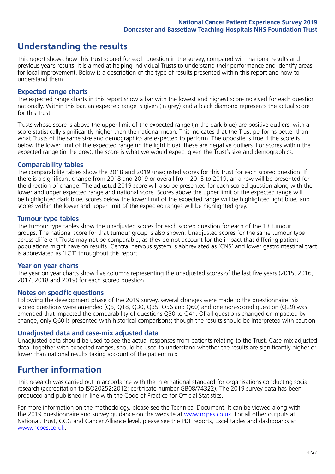## **Understanding the results**

This report shows how this Trust scored for each question in the survey, compared with national results and previous year's results. It is aimed at helping individual Trusts to understand their performance and identify areas for local improvement. Below is a description of the type of results presented within this report and how to understand them.

#### **Expected range charts**

The expected range charts in this report show a bar with the lowest and highest score received for each question nationally. Within this bar, an expected range is given (in grey) and a black diamond represents the actual score for this Trust.

Trusts whose score is above the upper limit of the expected range (in the dark blue) are positive outliers, with a score statistically significantly higher than the national mean. This indicates that the Trust performs better than what Trusts of the same size and demographics are expected to perform. The opposite is true if the score is below the lower limit of the expected range (in the light blue); these are negative outliers. For scores within the expected range (in the grey), the score is what we would expect given the Trust's size and demographics.

#### **Comparability tables**

The comparability tables show the 2018 and 2019 unadjusted scores for this Trust for each scored question. If there is a significant change from 2018 and 2019 or overall from 2015 to 2019, an arrow will be presented for the direction of change. The adjusted 2019 score will also be presented for each scored question along with the lower and upper expected range and national score. Scores above the upper limit of the expected range will be highlighted dark blue, scores below the lower limit of the expected range will be highlighted light blue, and scores within the lower and upper limit of the expected ranges will be highlighted grey.

#### **Tumour type tables**

The tumour type tables show the unadjusted scores for each scored question for each of the 13 tumour groups. The national score for that tumour group is also shown. Unadjusted scores for the same tumour type across different Trusts may not be comparable, as they do not account for the impact that differing patient populations might have on results. Central nervous system is abbreviated as 'CNS' and lower gastrointestinal tract is abbreviated as 'LGT' throughout this report.

#### **Year on year charts**

The year on year charts show five columns representing the unadjusted scores of the last five years (2015, 2016, 2017, 2018 and 2019) for each scored question.

#### **Notes on specific questions**

Following the development phase of the 2019 survey, several changes were made to the questionnaire. Six scored questions were amended (Q5, Q18, Q30, Q35, Q56 and Q60) and one non-scored question (Q29) was amended that impacted the comparability of questions Q30 to Q41. Of all questions changed or impacted by change, only Q60 is presented with historical comparisons; though the results should be interpreted with caution.

#### **Unadjusted data and case-mix adjusted data**

Unadjusted data should be used to see the actual responses from patients relating to the Trust. Case-mix adjusted data, together with expected ranges, should be used to understand whether the results are significantly higher or lower than national results taking account of the patient mix.

### **Further information**

This research was carried out in accordance with the international standard for organisations conducting social research (accreditation to ISO20252:2012; certificate number GB08/74322). The 2019 survey data has been produced and published in line with the Code of Practice for Official Statistics.

For more information on the methodology, please see the Technical Document. It can be viewed along with the 2019 questionnaire and survey quidance on the website at [www.ncpes.co.uk](https://www.ncpes.co.uk/supporting-documents). For all other outputs at National, Trust, CCG and Cancer Alliance level, please see the PDF reports, Excel tables and dashboards at [www.ncpes.co.uk.](https://www.ncpes.co.uk/current-results)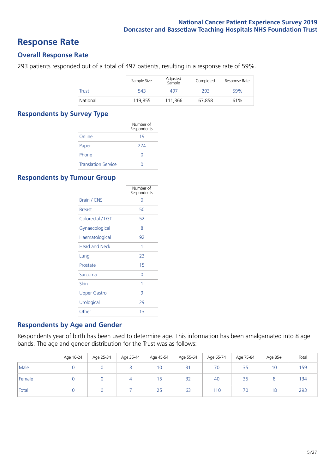### **Response Rate**

#### **Overall Response Rate**

293 patients responded out of a total of 497 patients, resulting in a response rate of 59%.

|              | Sample Size | Adjusted<br>Sample | Completed | Response Rate |
|--------------|-------------|--------------------|-----------|---------------|
| <b>Trust</b> | 543         | 497                | 293       | 59%           |
| National     | 119.855     | 111,366            | 67.858    | 61%           |

#### **Respondents by Survey Type**

|                            | Number of<br>Respondents |
|----------------------------|--------------------------|
| Online                     | 19                       |
| Paper                      | 274                      |
| Phone                      | $\left( \right)$         |
| <b>Translation Service</b> |                          |

#### **Respondents by Tumour Group**

|                      | Number of<br>Respondents |
|----------------------|--------------------------|
| Brain / CNS          | ∩                        |
| <b>Breast</b>        | 50                       |
| Colorectal / LGT     | 52                       |
| Gynaecological       | 8                        |
| Haematological       | 92                       |
| <b>Head and Neck</b> | 1                        |
| Lung                 | 23                       |
| Prostate             | 15                       |
| Sarcoma              | Ω                        |
| Skin                 | 1                        |
| <b>Upper Gastro</b>  | 9                        |
| Urological           | 29                       |
| Other                | 13                       |

#### **Respondents by Age and Gender**

Respondents year of birth has been used to determine age. This information has been amalgamated into 8 age bands. The age and gender distribution for the Trust was as follows:

|        | Age 16-24 | Age 25-34 | Age 35-44 | Age 45-54 | Age 55-64 | Age 65-74 | Age 75-84 | Age 85+         | Total |
|--------|-----------|-----------|-----------|-----------|-----------|-----------|-----------|-----------------|-------|
| Male   |           |           |           | 10        | 31        | 70        | 35        | 10 <sup>°</sup> | 159   |
| Female |           |           |           | 15        | 32        | 40        | 35        |                 | 134   |
| Total  |           |           |           | 25        | 63        | 110       | 70        | 18              | 293   |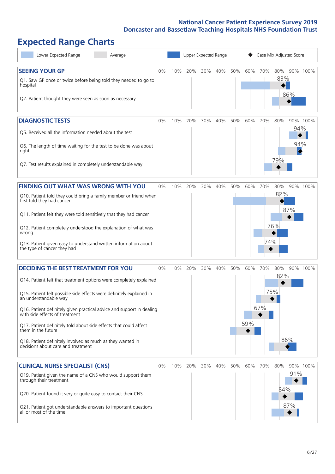# **Expected Range Charts**

| Lower Expected Range<br>Average                                                                                                                                                                                                                                                                                                                                                                                                                                                                                             |       |     | Upper Expected Range |     |     |     |            |            | Case Mix Adjusted Score  |            |          |
|-----------------------------------------------------------------------------------------------------------------------------------------------------------------------------------------------------------------------------------------------------------------------------------------------------------------------------------------------------------------------------------------------------------------------------------------------------------------------------------------------------------------------------|-------|-----|----------------------|-----|-----|-----|------------|------------|--------------------------|------------|----------|
| <b>SEEING YOUR GP</b><br>Q1. Saw GP once or twice before being told they needed to go to<br>hospital<br>Q2. Patient thought they were seen as soon as necessary                                                                                                                                                                                                                                                                                                                                                             | $0\%$ | 10% | 20%                  | 30% | 40% | 50% | 60%        | 70%        | 80%<br>83%               | 86%        | 90% 100% |
| <b>DIAGNOSTIC TESTS</b><br>Q5. Received all the information needed about the test<br>Q6. The length of time waiting for the test to be done was about<br>right<br>Q7. Test results explained in completely understandable way                                                                                                                                                                                                                                                                                               | 0%    | 10% | 20%                  | 30% | 40% | 50% | 60%        | 70%        | 80%<br>79%               | 94%<br>94% | 90% 100% |
| <b>FINDING OUT WHAT WAS WRONG WITH YOU</b><br>Q10. Patient told they could bring a family member or friend when<br>first told they had cancer<br>Q11. Patient felt they were told sensitively that they had cancer<br>Q12. Patient completely understood the explanation of what was<br>wrong<br>Q13. Patient given easy to understand written information about<br>the type of cancer they had                                                                                                                             | $0\%$ | 10% | 20%                  | 30% | 40% | 50% | 60%        | 70%<br>74% | 80%<br>82%<br>76%        | 87%        | 90% 100% |
| <b>DECIDING THE BEST TREATMENT FOR YOU</b><br>Q14. Patient felt that treatment options were completely explained<br>Q15. Patient felt possible side effects were definitely explained in<br>an understandable way<br>Q16. Patient definitely given practical advice and support in dealing<br>with side effects of treatment<br>Q17. Patient definitely told about side effects that could affect<br>them in the future<br>Q18. Patient definitely involved as much as they wanted in<br>decisions about care and treatment | $0\%$ | 10% | 20%                  | 30% | 40% | 50% | 60%<br>59% | 70%<br>67% | 80%<br>82%<br>75%<br>86% |            | 90% 100% |
| <b>CLINICAL NURSE SPECIALIST (CNS)</b><br>Q19. Patient given the name of a CNS who would support them<br>through their treatment<br>Q20. Patient found it very or quite easy to contact their CNS<br>Q21. Patient got understandable answers to important questions<br>all or most of the time                                                                                                                                                                                                                              | 0%    | 10% | 20%                  | 30% | 40% | 50% | 60%        | 70%        | 80%<br>84%               | 91%<br>87% | 90% 100% |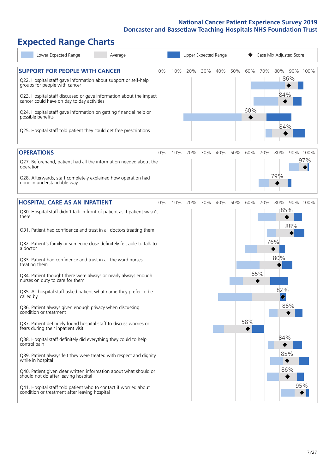# **Expected Range Charts**

| Lower Expected Range<br>Average                                                                                                                                                                                       |     | Upper Expected Range |     |     |     |     |     | Case Mix Adjusted Score             |          |  |  |  |
|-----------------------------------------------------------------------------------------------------------------------------------------------------------------------------------------------------------------------|-----|----------------------|-----|-----|-----|-----|-----|-------------------------------------|----------|--|--|--|
| <b>SUPPORT FOR PEOPLE WITH CANCER</b><br>0%<br>Q22. Hospital staff gave information about support or self-help<br>groups for people with cancer<br>Q23. Hospital staff discussed or gave information about the impact | 10% | 20%                  | 30% | 40% | 50% | 60% | 70% | 80%<br>86%<br>84%                   | 90% 100% |  |  |  |
| cancer could have on day to day activities<br>Q24. Hospital staff gave information on getting financial help or<br>possible benefits                                                                                  |     |                      |     |     |     | 60% |     | 84%                                 |          |  |  |  |
| Q25. Hospital staff told patient they could get free prescriptions                                                                                                                                                    |     |                      |     |     |     |     |     |                                     |          |  |  |  |
| <b>OPERATIONS</b><br>$0\%$                                                                                                                                                                                            | 10% | 20%                  | 30% | 40% | 50% | 60% | 70% | 80%                                 | 90% 100% |  |  |  |
| Q27. Beforehand, patient had all the information needed about the<br>operation                                                                                                                                        |     |                      |     |     |     |     |     |                                     | 97%      |  |  |  |
| Q28. Afterwards, staff completely explained how operation had<br>gone in understandable way                                                                                                                           |     |                      |     |     |     |     |     | 79%                                 |          |  |  |  |
| <b>HOSPITAL CARE AS AN INPATIENT</b><br>0%                                                                                                                                                                            | 10% | 20%                  | 30% | 40% | 50% | 60% | 70% | 80%                                 | 90% 100% |  |  |  |
| Q30. Hospital staff didn't talk in front of patient as if patient wasn't<br>there                                                                                                                                     |     |                      |     |     |     |     |     | 85%                                 |          |  |  |  |
| Q31. Patient had confidence and trust in all doctors treating them                                                                                                                                                    |     |                      |     |     |     |     |     | 88%                                 |          |  |  |  |
| Q32. Patient's family or someone close definitely felt able to talk to<br>a doctor                                                                                                                                    |     |                      |     |     |     |     |     | 76%                                 |          |  |  |  |
| Q33. Patient had confidence and trust in all the ward nurses<br>treating them                                                                                                                                         |     |                      |     |     |     |     |     | 80%                                 |          |  |  |  |
| Q34. Patient thought there were always or nearly always enough<br>nurses on duty to care for them                                                                                                                     |     |                      |     |     |     |     | 65% |                                     |          |  |  |  |
| Q35. All hospital staff asked patient what name they prefer to be<br>called by                                                                                                                                        |     |                      |     |     |     |     |     | 82%<br>$\color{black}\blacklozenge$ |          |  |  |  |
| Q36. Patient always given enough privacy when discussing<br>condition or treatment                                                                                                                                    |     |                      |     |     |     |     |     | 86%                                 |          |  |  |  |
| Q37. Patient definitely found hospital staff to discuss worries or<br>fears during their inpatient visit                                                                                                              |     |                      |     |     |     | 58% |     |                                     |          |  |  |  |
| Q38. Hospital staff definitely did everything they could to help<br>control pain                                                                                                                                      |     |                      |     |     |     |     |     | 84%                                 |          |  |  |  |
| Q39. Patient always felt they were treated with respect and dignity<br>while in hospital                                                                                                                              |     |                      |     |     |     |     |     | 85%                                 |          |  |  |  |
| Q40. Patient given clear written information about what should or<br>should not do after leaving hospital                                                                                                             |     |                      |     |     |     |     |     | 86%                                 |          |  |  |  |
| Q41. Hospital staff told patient who to contact if worried about<br>condition or treatment after leaving hospital                                                                                                     |     |                      |     |     |     |     |     |                                     | 95%      |  |  |  |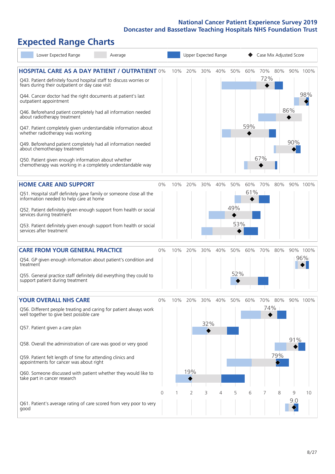# **Expected Range Charts**

| Lower Expected Range<br>Average                                                                                                                                                                                                                                                                                                                           |          |     |                       |            | Upper Expected Range |                   |            | Case Mix Adjusted Score |            |            |                 |
|-----------------------------------------------------------------------------------------------------------------------------------------------------------------------------------------------------------------------------------------------------------------------------------------------------------------------------------------------------------|----------|-----|-----------------------|------------|----------------------|-------------------|------------|-------------------------|------------|------------|-----------------|
| <b>HOSPITAL CARE AS A DAY PATIENT / OUTPATIENT 0%</b><br>Q43. Patient definitely found hospital staff to discuss worries or<br>fears during their outpatient or day case visit<br>Q44. Cancer doctor had the right documents at patient's last<br>outpatient appointment                                                                                  |          | 10% | 20%                   | 30%        | 40%                  | 50%               | 60%        | 70%<br>72%              | 80%        |            | 90% 100%<br>98% |
| Q46. Beforehand patient completely had all information needed<br>about radiotherapy treatment<br>Q47. Patient completely given understandable information about<br>whether radiotherapy was working<br>Q49. Beforehand patient completely had all information needed<br>about chemotherapy treatment                                                      |          |     |                       |            |                      |                   | 59%        |                         |            | 86%<br>90% |                 |
| Q50. Patient given enough information about whether<br>chemotherapy was working in a completely understandable way                                                                                                                                                                                                                                        |          |     |                       |            |                      |                   |            | 67%                     |            |            |                 |
| <b>HOME CARE AND SUPPORT</b><br>Q51. Hospital staff definitely gave family or someone close all the<br>information needed to help care at home<br>Q52. Patient definitely given enough support from health or social<br>services during treatment<br>Q53. Patient definitely given enough support from health or social<br>services after treatment       | 0%       | 10% | 20%                   | 30%        | 40%                  | 50%<br>49%<br>53% | 60%<br>61% | 70%                     | 80%        |            | 90% 100%        |
| <b>CARE FROM YOUR GENERAL PRACTICE</b><br>Q54. GP given enough information about patient's condition and<br>treatment<br>Q55. General practice staff definitely did everything they could to<br>support patient during treatment                                                                                                                          | 0%       | 10% | 20%                   | 30%        | 40%                  | 50%<br>52%        | 60%        | 70%                     | 80%        |            | 90% 100%<br>96% |
| <b>YOUR OVERALL NHS CARE</b><br>Q56. Different people treating and caring for patient always work<br>well together to give best possible care<br>Q57. Patient given a care plan<br>Q58. Overall the administration of care was good or very good<br>Q59. Patient felt length of time for attending clinics and<br>appointments for cancer was about right | $0\%$    | 10% | 20%                   | 30%<br>32% | 40%                  | 50%               | 60%        | 70%<br>74%              | 80%<br>79% | 91%        | 90% 100%        |
| Q60. Someone discussed with patient whether they would like to<br>take part in cancer research<br>Q61. Patient's average rating of care scored from very poor to very<br>good                                                                                                                                                                             | $\Omega$ |     | 19%<br>$\overline{2}$ | 3          | 4                    | 5                 | 6          |                         | 8          | 9<br>9.0   | 10              |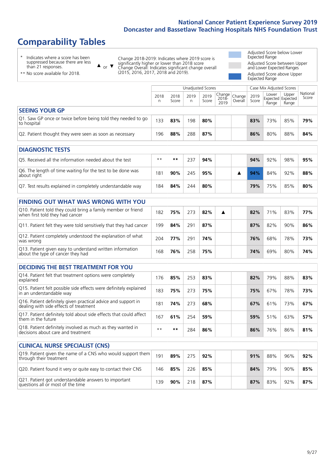# **Comparability Tables**

\* Indicates where a score has been suppressed because there are less than 21 responses.

\*\* No score available for 2018.

or  $\blacktriangledown$  $\blacktriangle$ 

Change 2018-2019: Indicates where 2019 score is significantly higher or lower than 2018 score Change Overall: Indicates significant change overall (2015, 2016, 2017, 2018 and 2019).

Adjusted Score below Lower Expected Range Adjusted Score between Upper and Lower Expected Ranges Adjusted Score above Upper Expected Range

Unadjusted Scores **Case Mix Adjusted Scores** 2018 n 2018 **Score** 2019 n 2019 **Score** Change 2018- 2019 Change Overall 2019 **Score** Lower Expected Range Upper Expected Range National Score **SEEING YOUR GP** Q1. Saw GP once or twice before being told they needed to go to hospital <sup>133</sup> **83%** <sup>198</sup> **80% 83%** 73% 85% **79%** Q2. Patient thought they were seen as soon as necessary 196 88% 288 87% 88% 80% 88% 80% 88% 84%

| <b>DIAGNOSTIC TESTS</b>                                                   |      |     |     |     |  |     |        |     |     |
|---------------------------------------------------------------------------|------|-----|-----|-----|--|-----|--------|-----|-----|
| O5. Received all the information needed about the test                    | $**$ | **  | 237 | 94% |  | 94% | $92\%$ | 98% | 95% |
| Q6. The length of time waiting for the test to be done was<br>about right | 181  | 90% | 245 | 95% |  | 94% | 84%    | 92% | 88% |
| Q7. Test results explained in completely understandable way               | 184  | 84% | 244 | 80% |  | 79% | 75%    | 85% | 80% |

| <b>FINDING OUT WHAT WAS WRONG WITH YOU</b>                                                      |     |     |     |     |   |     |     |     |     |
|-------------------------------------------------------------------------------------------------|-----|-----|-----|-----|---|-----|-----|-----|-----|
| Q10. Patient told they could bring a family member or friend<br>when first told they had cancer | 182 | 75% | 273 | 82% | ▲ | 82% | 71% | 83% | 77% |
| Q11. Patient felt they were told sensitively that they had cancer                               | 199 | 84% | 291 | 87% |   | 87% | 82% | 90% | 86% |
| Q12. Patient completely understood the explanation of what<br>was wrong                         | 204 | 77% | 291 | 74% |   | 76% | 68% | 78% | 73% |
| Q13. Patient given easy to understand written information<br>about the type of cancer they had  | 168 | 76% | 258 | 75% |   | 74% | 69% | 80% | 74% |

| <b>DECIDING THE BEST TREATMENT FOR YOU</b>                                                              |      |       |     |     |     |     |     |     |
|---------------------------------------------------------------------------------------------------------|------|-------|-----|-----|-----|-----|-----|-----|
| Q14. Patient felt that treatment options were completely<br>explained                                   | 176  | 85%   | 253 | 83% | 82% | 79% | 88% | 83% |
| Q15. Patient felt possible side effects were definitely explained<br>in an understandable way           | 183  | 75%   | 273 | 75% | 75% | 67% | 78% | 73% |
| Q16. Patient definitely given practical advice and support in<br>dealing with side effects of treatment | 181  | 74%   | 273 | 68% | 67% | 61% | 73% | 67% |
| Q17. Patient definitely told about side effects that could affect<br>them in the future                 | 167  | 61%   | 254 | 59% | 59% | 51% | 63% | 57% |
| Q18. Patient definitely involved as much as they wanted in<br>decisions about care and treatment        | $**$ | $* *$ | 284 | 86% | 86% | 76% | 86% | 81% |

| <b>CLINICAL NURSE SPECIALIST (CNS)</b>                                                    |     |     |     |     |  |     |     |     |     |
|-------------------------------------------------------------------------------------------|-----|-----|-----|-----|--|-----|-----|-----|-----|
| Q19. Patient given the name of a CNS who would support them<br>through their treatment    | 191 | 89% | 275 | 92% |  | 91% | 88% | 96% | 92% |
| Q20. Patient found it very or quite easy to contact their CNS                             | 146 | 85% | 226 | 85% |  | 84% | 79% | 90% | 85% |
| Q21. Patient got understandable answers to important<br>questions all or most of the time | 139 | 90% | 218 | 87% |  | 87% | 83% | 92% | 87% |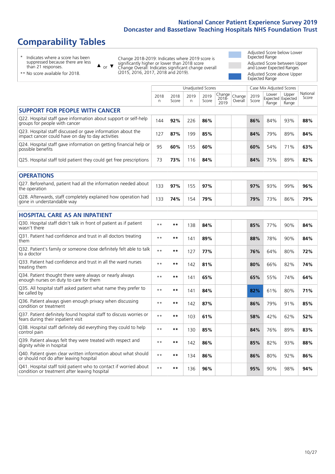# **Comparability Tables**

\* Indicates where a score has been suppressed because there are less than 21 responses.

\*\* No score available for 2018.

 $\triangle$  or  $\nabla$ 

Change 2018-2019: Indicates where 2019 score is significantly higher or lower than 2018 score Change Overall: Indicates significant change overall (2015, 2016, 2017, 2018 and 2019).

Adjusted Score below Lower Expected Range Adjusted Score between Upper and Lower Expected Ranges Adjusted Score above Upper Expected Range

|                                                                                                                   |              |               | Unadjusted Scores |               |                         |                   |               | Case Mix Adjusted Scores            |                |                   |
|-------------------------------------------------------------------------------------------------------------------|--------------|---------------|-------------------|---------------|-------------------------|-------------------|---------------|-------------------------------------|----------------|-------------------|
|                                                                                                                   | 2018<br>n    | 2018<br>Score | 2019<br>n         | 2019<br>Score | Change<br>2018-<br>2019 | Change<br>Overall | 2019<br>Score | Lower<br>Expected Expected<br>Range | Upper<br>Range | National<br>Score |
| <b>SUPPORT FOR PEOPLE WITH CANCER</b>                                                                             |              |               |                   |               |                         |                   |               |                                     |                |                   |
| Q22. Hospital staff gave information about support or self-help<br>groups for people with cancer                  | 144          | 92%           | 226               | 86%           |                         |                   | 86%           | 84%                                 | 93%            | 88%               |
| Q23. Hospital staff discussed or gave information about the<br>impact cancer could have on day to day activities  | 127          | 87%           | 199               | 85%           |                         |                   | 84%           | 79%                                 | 89%            | 84%               |
| Q24. Hospital staff gave information on getting financial help or<br>possible benefits                            | 95           | 60%           | 155               | 60%           |                         |                   | 60%           | 54%                                 | 71%            | 63%               |
| Q25. Hospital staff told patient they could get free prescriptions                                                | 73           | 73%           | 116               | 84%           |                         |                   | 84%           | 75%                                 | 89%            | 82%               |
| <b>OPERATIONS</b>                                                                                                 |              |               |                   |               |                         |                   |               |                                     |                |                   |
| Q27. Beforehand, patient had all the information needed about<br>the operation                                    | 133          | 97%           | 155               | 97%           |                         |                   | 97%           | 93%                                 | 99%            | 96%               |
| Q28. Afterwards, staff completely explained how operation had<br>gone in understandable way                       | 133          | 74%           | 154               | 79%           |                         |                   | 79%           | 73%                                 | 86%            | 79%               |
| <b>HOSPITAL CARE AS AN INPATIENT</b>                                                                              |              |               |                   |               |                         |                   |               |                                     |                |                   |
| Q30. Hospital staff didn't talk in front of patient as if patient<br>wasn't there                                 | $**$         | $***$         | 138               | 84%           |                         |                   | 85%           | 77%                                 | 90%            | 84%               |
| Q31. Patient had confidence and trust in all doctors treating<br>them                                             | $\star\star$ | $***$         | 141               | 89%           |                         |                   | 88%           | 78%                                 | 90%            | 84%               |
| Q32. Patient's family or someone close definitely felt able to talk<br>to a doctor                                | $\star\star$ | $***$         | 127               | 77%           |                         |                   | 76%           | 64%                                 | 80%            | 72%               |
| Q33. Patient had confidence and trust in all the ward nurses<br>treating them                                     | $* *$        | **            | 142               | 81%           |                         |                   | 80%           | 66%                                 | 82%            | 74%               |
| Q34. Patient thought there were always or nearly always<br>enough nurses on duty to care for them                 | $**$         | $***$         | 141               | 65%           |                         |                   | 65%           | 55%                                 | 74%            | 64%               |
| Q35. All hospital staff asked patient what name they prefer to<br>be called by                                    | $**$         | $***$         | 141               | 84%           |                         |                   | 82%           | 61%                                 | 80%            | 71%               |
| Q36. Patient always given enough privacy when discussing<br>condition or treatment                                | $* *$        | $***$         | 142               | 87%           |                         |                   | 86%           | 79%                                 | 91%            | 85%               |
| Q37. Patient definitely found hospital staff to discuss worries or<br>fears during their inpatient visit          | $* *$        | $***$         | 103               | 61%           |                         |                   | 58%           | 42%                                 | 62%            | 52%               |
| Q38. Hospital staff definitely did everything they could to help<br>control pain                                  | $* *$        | $***$         | 130               | 85%           |                         |                   | 84%           | 76%                                 | 89%            | 83%               |
| Q39. Patient always felt they were treated with respect and<br>dignity while in hospital                          | $\star\star$ | $***$         | 142               | 86%           |                         |                   | 85%           | 82%                                 | 93%            | 88%               |
| Q40. Patient given clear written information about what should<br>or should not do after leaving hospital         | $**$         | $***$         | 134               | 86%           |                         |                   | 86%           | 80%                                 | 92%            | 86%               |
| Q41. Hospital staff told patient who to contact if worried about<br>condition or treatment after leaving hospital | $**$         | $***$         | 136               | 96%           |                         |                   | 95%           | 90%                                 | 98%            | 94%               |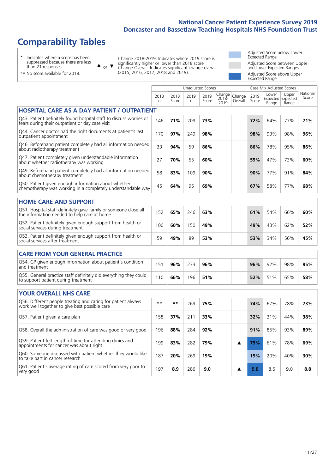# **Comparability Tables**

\* Indicates where a score has been suppressed because there are less than 21 responses.

\*\* No score available for 2018.

 $\triangle$  or  $\nabla$ 

Change 2018-2019: Indicates where 2019 score is significantly higher or lower than 2018 score Change Overall: Indicates significant change overall (2015, 2016, 2017, 2018 and 2019).

Adjusted Score below Lower Expected Range Adjusted Score between Upper and Lower Expected Ranges Adjusted Score above Upper Expected Range

|                                                                                                                       |              |               |           | <b>Unadjusted Scores</b> |                         |                   |               | Case Mix Adjusted Scores            |                |                   |
|-----------------------------------------------------------------------------------------------------------------------|--------------|---------------|-----------|--------------------------|-------------------------|-------------------|---------------|-------------------------------------|----------------|-------------------|
|                                                                                                                       | 2018<br>n    | 2018<br>Score | 2019<br>n | 2019<br>Score            | Change<br>2018-<br>2019 | Change<br>Overall | 2019<br>Score | Lower<br>Expected Expected<br>Range | Upper<br>Range | National<br>Score |
| <b>HOSPITAL CARE AS A DAY PATIENT / OUTPATIENT</b>                                                                    |              |               |           |                          |                         |                   |               |                                     |                |                   |
| Q43. Patient definitely found hospital staff to discuss worries or<br>fears during their outpatient or day case visit | 146          | 71%           | 209       | 73%                      |                         |                   | 72%           | 64%                                 | 77%            | 71%               |
| Q44. Cancer doctor had the right documents at patient's last<br>outpatient appointment                                | 170          | 97%           | 249       | 98%                      |                         |                   | 98%           | 93%                                 | 98%            | 96%               |
| Q46. Beforehand patient completely had all information needed<br>about radiotherapy treatment                         | 33           | 94%           | 59        | 86%                      |                         |                   | 86%           | 78%                                 | 95%            | 86%               |
| Q47. Patient completely given understandable information<br>about whether radiotherapy was working                    | 27           | 70%           | 55        | 60%                      |                         |                   | 59%           | 47%                                 | 73%            | 60%               |
| Q49. Beforehand patient completely had all information needed<br>about chemotherapy treatment                         | 58           | 83%           | 109       | 90%                      |                         |                   | 90%           | 77%                                 | 91%            | 84%               |
| Q50. Patient given enough information about whether<br>chemotherapy was working in a completely understandable way    | 45           | 64%           | 95        | 69%                      |                         |                   | 67%           | 58%                                 | 77%            | 68%               |
| <b>HOME CARE AND SUPPORT</b>                                                                                          |              |               |           |                          |                         |                   |               |                                     |                |                   |
| Q51. Hospital staff definitely gave family or someone close all<br>the information needed to help care at home        | 152          | 65%           | 246       | 63%                      |                         |                   | 61%           | 54%                                 | 66%            | 60%               |
| Q52. Patient definitely given enough support from health or<br>social services during treatment                       | 100          | 60%           | 150       | 49%                      |                         |                   | 49%           | 43%                                 | 62%            | 52%               |
| Q53. Patient definitely given enough support from health or<br>social services after treatment                        | 59           | 49%           | 89        | 53%                      |                         |                   | 53%           | 34%                                 | 56%            | 45%               |
| <b>CARE FROM YOUR GENERAL PRACTICE</b>                                                                                |              |               |           |                          |                         |                   |               |                                     |                |                   |
| Q54. GP given enough information about patient's condition<br>and treatment                                           | 151          | 96%           | 233       | 96%                      |                         |                   | 96%           | 92%                                 | 98%            | 95%               |
| Q55. General practice staff definitely did everything they could<br>to support patient during treatment               | 110          | 66%           | 196       | 51%                      |                         |                   | 52%           | 51%                                 | 65%            | 58%               |
| <b>YOUR OVERALL NHS CARE</b>                                                                                          |              |               |           |                          |                         |                   |               |                                     |                |                   |
| Q56. Different people treating and caring for patient always<br>work well together to give best possible care         | $\star\star$ | $***$         | 269       | 75%                      |                         |                   | 74%           | 67%                                 | 78%            | 73%               |
| Q57. Patient given a care plan                                                                                        | 158          | 37%           | 211       | 33%                      |                         |                   | 32%           | 31%                                 | 44%            | 38%               |
| Q58. Overall the administration of care was good or very good                                                         | 196          | 88%           | 284       | 92%                      |                         |                   | 91%           | 85%                                 | 93%            | 89%               |
| Q59. Patient felt length of time for attending clinics and<br>appointments for cancer was about right                 | 199          | 83%           | 282       | 79%                      |                         | ▲                 | 79%           | 61%                                 | 78%            | 69%               |
| Q60. Someone discussed with patient whether they would like<br>to take part in cancer research                        | 187          | 20%           | 269       | 19%                      |                         |                   | 19%           | 20%                                 | 40%            | 30%               |
| Q61. Patient's average rating of care scored from very poor to<br>very good                                           | 197          | 8.9           | 286       | 9.0                      |                         | A                 | 9.0           | 8.6                                 | 9.0            | 8.8               |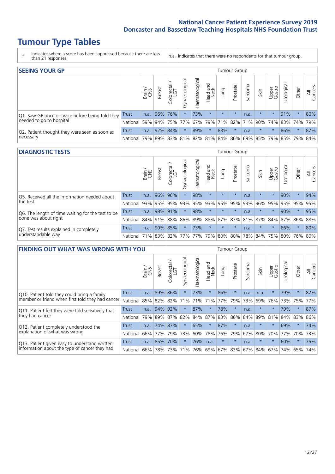# **Tumour Type Tables**

\* Indicates where a score has been suppressed because there are less than 21 responses.

n.a. Indicates that there were no respondents for that tumour group.

| <b>SEEING YOUR GP</b>                           |              |              |               |                   |                |               |                                         |         | <b>Tumour Group</b> |         |         |                 |                                                     |         |                         |
|-------------------------------------------------|--------------|--------------|---------------|-------------------|----------------|---------------|-----------------------------------------|---------|---------------------|---------|---------|-----------------|-----------------------------------------------------|---------|-------------------------|
|                                                 |              | Brain<br>CNS | <b>Breast</b> | Colorectal<br>LGT | Gynaecological | Haematologica | Head and<br>Neck                        | Lung    | Prostate            | Sarcoma | Skin    | Upper<br>Gastro | Irological                                          | Other   | All<br>ancers<br>$\cup$ |
| Q1. Saw GP once or twice before being told they | Trust        | n.a.         | 96% 76%       |                   | $\star$        | 73%           | $\star$                                 | $\star$ | $\star$             | n.a.    | $\star$ | $\star$         | 91%                                                 | $\star$ | 80%                     |
| needed to go to hospital                        | National 59% |              |               |                   |                |               |                                         |         |                     |         |         |                 | 94% 75% 77% 67% 79% 71% 82% 71% 90% 74% 83% 74% 79% |         |                         |
| Q2. Patient thought they were seen as soon as   | Trust        | n.a.         | 92% 84%       |                   | $\star$        | 89%           | $\star$                                 | 83%     | $\star$             | n.a.    | $\star$ | $\star$         | 86%                                                 | $\star$ | 87%                     |
| necessary                                       | National I   | 79%          |               |                   |                |               | 89% 83% 81% 82% 81% 84% 86% 69% 85% 79% |         |                     |         |         |                 | 85% 79%                                             |         | 84%                     |

#### **DIAGNOSTIC TESTS** Tumour Group

|                                                   |              | Brain | <b>Breast</b> | ╮<br>olorectal<br>LGT<br>$\cup$ | ᢛ<br>Gynaecologic | Haematological | Head and<br>Neck | Lung                        | Prostate | Sarcoma | Skin    | Upper<br>Gastro | Urologica                                                 | Other   | All<br>Cancers |
|---------------------------------------------------|--------------|-------|---------------|---------------------------------|-------------------|----------------|------------------|-----------------------------|----------|---------|---------|-----------------|-----------------------------------------------------------|---------|----------------|
| Q5. Received all the information needed about     | <b>Trust</b> | n.a.  |               | 96% 96%                         | $\star$           | 98%            | $\star$          | $\star$                     | $\star$  | n.a.    |         | $\star$         | 90%                                                       | $\star$ | 94%            |
| the test                                          | National     | 93%   | 95%           | 95%                             | 93%               | 95%            | 93%              | 95%                         | 95%      | 93%     | 96%     | 95%             | 95%                                                       | 95%     | 95%            |
| Q6. The length of time waiting for the test to be | Trust        | n.a.  | 98% 91%       |                                 | $\star$           | 98%            | $\star$          | $\star$                     | $\star$  | n.a.    | $\star$ | $\star$         | 90%                                                       | $\star$ | 95%            |
| done was about right                              | National     |       | 84% 91% 88%   |                                 |                   |                |                  |                             |          |         |         |                 | 86%   89%   88%   87%   87%   81%   87%   84%   87%   86% |         | 88%            |
| Q7. Test results explained in completely          | Trust        | n.a.  |               | 90% 85%                         | $\star$           | 73%            | $\star$          | $\star$                     | $\star$  | n.a.    | $\star$ | $\star$         | 66%                                                       | $\star$ | 80%            |
| understandable way                                | National 71% |       |               |                                 |                   |                |                  | 83% 82% 77% 77% 79% 80% 80% |          |         |         |                 | 78% 84% 75% 80% 76% 80%                                   |         |                |

| <b>FINDING OUT WHAT WAS WRONG WITH YOU</b>        |          |       |        |                   |                |                |                  |         | <b>Tumour Group</b> |         |         |                 |           |         |                |
|---------------------------------------------------|----------|-------|--------|-------------------|----------------|----------------|------------------|---------|---------------------|---------|---------|-----------------|-----------|---------|----------------|
|                                                   |          | Brain | Breast | Colorectal<br>LGT | Gynaecological | Haematological | Head and<br>Neck | Lung    | Prostate            | Sarcoma | Skin    | Upper<br>Gastro | Jrologica | Other   | All<br>Cancers |
| Q10. Patient told they could bring a family       | Trust    | n.a.  | 89%    | 86%               |                | 73%            | $\star$          | 86%     | $\star$             | n.a.    | n.a.    | $\star$         | 79%       | $\star$ | 82%            |
| member or friend when first told they had cancer  | National | 85%   | 82%    | 82%               | 71%            | 71%            | 71%              | 77%     | 79%                 | 73%     | 69%     | 76%             | 73%       | 75%     | 77%            |
| Q11. Patient felt they were told sensitively that | Trust    | n.a.  | 94%    | 92%               |                | 87%            | $\ast$           | 78%     | $\star$             | n.a.    | $\ast$  | $\star$         | 79%       | $\star$ | 87%            |
| they had cancer                                   | National | 79%   | 89%    | 87%               | 82%            |                | 84% 87%          | 83%     | 86%                 | 84%     | 89%     | 81%             | 84% 83%   |         | 86%            |
| Q12. Patient completely understood the            | Trust    | n.a.  | 74%    | 87%               |                | 65%            | $\star$          | 87%     | $\star$             | n.a.    |         | $\star$         | 69%       | $\star$ | 74%            |
| explanation of what was wrong                     | National | 66%   | 77%    | 79%               | 73%            | 60%            | 78%              | 76%     | 79%                 | 67%     | 80%     | 70%             | 77%       | 70%     | 73%            |
| Q13. Patient given easy to understand written     | Trust    | n.a.  | 85%    | 170%              |                | 76%            | n.a.             | $\star$ | $\star$             | n.a.    | $\star$ | $\star$         | 60%       | $\ast$  | 75%            |
| information about the type of cancer they had     | National | 66%   | 78%    | 73%               |                |                |                  |         | 71% 76% 69% 67% 83% |         | 67% 84% | 67%             | 74% 65%   |         | 74%            |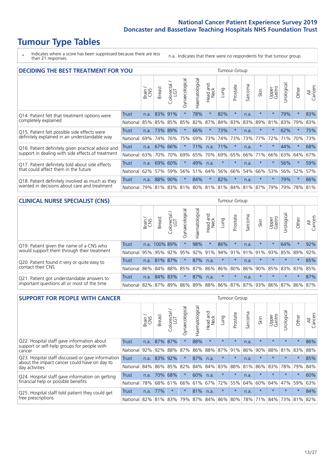# **Tumour Type Tables**

\* Indicates where a score has been suppressed because there are less than 21 responses.

n.a. Indicates that there were no respondents for that tumour group.

| <b>DECIDING THE BEST TREATMENT FOR YOU</b>         |              |       |               |                        |                |                |                        |                             | <b>Tumour Group</b> |         |         |                 |            |         |                |
|----------------------------------------------------|--------------|-------|---------------|------------------------|----------------|----------------|------------------------|-----------------------------|---------------------|---------|---------|-----------------|------------|---------|----------------|
|                                                    |              | Brain | <b>Breast</b> | blorectal.<br>LGT<br>Ũ | Gynaecological | Haematological | ad and<br>Neck<br>Head | Lung                        | Prostate            | Sarcoma | Skin    | Upper<br>Gastro | Jrological | Other   | All<br>Cancers |
| Q14. Patient felt that treatment options were      | <b>Trust</b> | n.a.  | 83%           | 91%                    | $\star$        | 78%            | $\star$                | 82%                         | $\star$             | n.a.    |         | $\star$         | 79%        | $\star$ | 83%            |
| completely explained                               | National     | 85%   | 85%           | 85%                    | 85%            | 82%            | 87%                    |                             | 84% 83%             | 83%     | 89%     | 81%             | 83%        | 79%     | 83%            |
| Q15. Patient felt possible side effects were       | Trust        | n.a.  | 73%           | 89%                    |                | 66%            | $\ast$                 | 73%                         | $\star$             | n.a.    |         | $\star$         | 62%        | $\star$ | 75%            |
| definitely explained in an understandable way      | National     | 69%   | 74%           | 76%                    | 75%            | 69%            | 73%                    | 74%                         | 73%                 | 73%     | 77%     | 72%             | 71%        | 70%     | 73%            |
| Q16. Patient definitely given practical advice and | Trust        | n.a.  | 67%           | 66%                    |                | 71%            | n.a.                   | 71%                         | $\star$             | n.a.    | $\star$ | $\star$         | 44%        | $\star$ | 68%            |
| support in dealing with side effects of treatment  | National     | 63%   | 70%           | 70%                    | 69%            | 65%            | 70%                    | 69%                         | 65%                 | 66%     | 71%     | 66%             | 63%        | 64%     | 67%            |
| Q17. Patient definitely told about side effects    | Trust        | n.a.  | 69%           | 60%                    | $\star$        | 49%            | n.a.                   | $\star$                     | $\star$             | n.a.    | $\star$ | $\star$         | 56%        | $\star$ | 59%            |
| that could affect them in the future               | National     | 62%   | 57%           | 59%                    | 56%            | 51%            | 64%                    | 56%                         | 66%                 | 54%     | 66%     | 53%             | 56%        | 52%     | 57%            |
| Q18. Patient definitely involved as much as they   | Trust        | n.a.  | 88%           | 90%                    | $\star$        | 84%            | $\star$                | 82%                         | $\star$             | n.a.    | $\ast$  | $\star$         | 79%        | $\star$ | 86%            |
| wanted in decisions about care and treatment       | National     | 79%   |               | 81% 83%                |                |                |                        | 81% 80% 81% 81% 84% 81% 87% |                     |         |         | 79%             | 79%        | 78%     | 81%            |

#### **CLINICAL NURSE SPECIALIST (CNS)** Tumour Group

|                                             |              | Brain | <b>Breast</b> | Colorectal<br>LGT | $\sigma$<br>Gynaecologic | Haematological | Head and<br>Neck | Lung    | Prostate | Sarcoma | Skin                        | Upper<br>Gastro | Urologica       | Other   | All<br>Cancers |
|---------------------------------------------|--------------|-------|---------------|-------------------|--------------------------|----------------|------------------|---------|----------|---------|-----------------------------|-----------------|-----------------|---------|----------------|
| Q19. Patient given the name of a CNS who    | <b>Trust</b> |       | n.a. 100% 89% |                   |                          | 98%            | $\star$          | 86%     |          | n.a.    | $\star$                     | $\star$         | 64%             | $\star$ | 92%            |
| would support them through their treatment  | National     | 95%   | 95%           | 92%               | 95%                      |                | 92% 91%          |         | 94% 91%  | 91%     | 91%                         | 93%             | 85%             | 89%     | 92%            |
| Q20. Patient found it very or quite easy to | Trust        | n.a.  | 81% 87%       |                   | $\star$                  | 87%            | n.a.             | $\star$ | $\star$  | n.a.    |                             | $\star$         | $\star$         | $\star$ | 85%            |
| contact their CNS                           | National     | 86%   | 84%           | 88%               | 85%                      |                | 87% 86% 86%      |         | 80%      | 86%     | 90%                         | 85%             | 83% 83% 85%     |         |                |
| Q21. Patient got understandable answers to  | Trust        | n.a.  | 84% 83%       |                   | $\star$                  | 87%            | n.a.             | $\star$ | $\star$  | n.a.    | $\star$                     | $\star$         | $\star$         | $\star$ | 87%            |
| important questions all or most of the time | National     | 82%   | 87%           | 89%               |                          |                |                  |         |          |         | 86% 89% 88% 86% 87% 87% 93% |                 | 86% 87% 86% 87% |         |                |

| <b>SUPPORT FOR PEOPLE WITH CANCER</b>                                                             |              |       |               |                        |                |                |                        |         | <b>Tumour Group</b> |         |         |                 |           |         |                |
|---------------------------------------------------------------------------------------------------|--------------|-------|---------------|------------------------|----------------|----------------|------------------------|---------|---------------------|---------|---------|-----------------|-----------|---------|----------------|
|                                                                                                   |              | Brain | <b>Breast</b> | olorectal.<br>LGT<br>Ũ | Gynaecological | Haematological | ad and<br>Neck<br>Head | Lung    | Prostate            | Sarcoma | Skin    | Upper<br>Gastro | Jrologica | Other   | All<br>Cancers |
| Q22. Hospital staff gave information about<br>support or self-help groups for people with         | <b>Trust</b> | n.a.  | 87%           | 87%                    | $\star$        | 88%            | $\star$                | $\star$ | $\star$             | n.a.    | $\star$ | $\star$         | $\star$   | $\star$ | 86%            |
| cancer                                                                                            | National     | 92%   | 92%           | 88%                    | 87%            | 86%            | 88%                    | 87%     | 91%                 | 86%     | 90%     | 88%             | 81%       | 83%     | 88%            |
| Q23. Hospital staff discussed or gave information<br>about the impact cancer could have on day to | Trust        | n.a.  | 83%           | 92%                    | $\star$        | 87%            | n.a.                   | $\star$ | $\star$             | n.a.    | $\star$ | $\star$         | $\star$   | $\star$ | 85%            |
| day activities                                                                                    | National     | 84%   | 86%           | 85%                    | 82%            | 84%            | 84%                    | 83%     | 88%                 | 81%     | 86%     | 83%             | 78%       | 79%     | 84%            |
| Q24. Hospital staff gave information on getting                                                   | Trust        | n.a.  | 70%           | 68%                    | $\star$        | 60%            | n.a.                   | $\star$ | $\star$             | n.a.    | $\star$ | $\star$         | $\star$   | $\star$ | 60%            |
| financial help or possible benefits                                                               | National     | 78%   |               | 68% 61%                | 66%            |                | 61% 67%                | 72%     | 55%                 | 64%     | 60%     | 64%             | 47%       | 59%     | 63%            |
| Q25. Hospital staff told patient they could get                                                   | Trust        | n.a.  | 77%           | $\star$                | $\star$        | 81%            | n.a.                   | $\star$ | $\star$             | n.a.    | $\star$ | $\star$         | $\star$   | $\ast$  | 84%            |
| free prescriptions                                                                                | National     | 82%   |               | 81% 83%                | 79%            |                | 87% 84% 86% 80%        |         |                     |         | 78% 71% | 84%             | 73%       | 81%     | 82%            |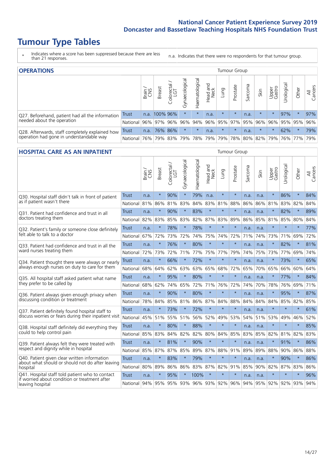# **Tumour Type Tables**

\* Indicates where a score has been suppressed because there are less than 21 responses.

n.a. Indicates that there were no respondents for that tumour group.

| <b>OPERATIONS</b>                                |              |               |               |                   |                   |                |                  |         | Tumour Group |         |         |                 |                                 |         |                |
|--------------------------------------------------|--------------|---------------|---------------|-------------------|-------------------|----------------|------------------|---------|--------------|---------|---------|-----------------|---------------------------------|---------|----------------|
|                                                  |              | Brain.<br>CNS | <b>Breast</b> | Colorectal<br>LGT | ত<br>Gynaecologic | Haematological | Head and<br>Neck | Lung    | Prostate     | Sarcoma | Skin    | Upper<br>Gastro | $\overline{\sigma}$<br>rologica | Other   | All<br>Cancers |
| Q27. Beforehand, patient had all the information | <b>Trust</b> |               | n.a. 100% 96% |                   | $\star$           | $\star$        | n.a.             | $\star$ | $\star$      | n.a.    | $\star$ | $\star$         | 97%                             | $\star$ | 97%            |
| needed about the operation                       | National     | 96%           | 97%           | 96%               | 96%               | 94%            | 96%              | 95% 97% |              |         | 95% 96% | 96%             |                                 | 95% 95% | 96%            |
| Q28. Afterwards, staff completely explained how  | <b>Trust</b> | n.a.          |               | 76% 86%           | $\star$           | $\star$        | n.a.             | $\star$ | $\star$      | n.a.    | $\star$ | $\star$         | 62%                             | $\star$ | 79%            |
| operation had gone in understandable way         | National I   | 76%           |               | 79% 83%           |                   |                | 79% 78% 79%      |         |              |         |         |                 | 79% 78% 80% 82% 79% 76% 77%     |         | 79%            |

#### **HOSPITAL CARE AS AN INPATIENT** Tumour Group

|                                                                                                  |              | Brain | Breast  | $\overline{\phantom{0}}$<br>Colorectal /<br>LGT | Gynaecological | Haematological | Head and<br><b>Neck</b> | Lung        | Prostate | Sarcoma | Skin | Upper<br>Gastro | Urological  | Other   | All<br>Cancers |
|--------------------------------------------------------------------------------------------------|--------------|-------|---------|-------------------------------------------------|----------------|----------------|-------------------------|-------------|----------|---------|------|-----------------|-------------|---------|----------------|
| Q30. Hospital staff didn't talk in front of patient                                              | <b>Trust</b> | n.a.  | $\star$ | 90%                                             | $\star$        | 79%            | n.a.                    | $\star$     | $\star$  | n.a.    | n.a. | $\star$         | 86%         | $\star$ | 84%            |
| as if patient wasn't there                                                                       | National     | 81%   | 86%     | 81%                                             | 83%            | 84%            | 83%                     | 81%         | 88%      | 86%     | 86%  | 81%             | 83%         | 82%     | 84%            |
| Q31. Patient had confidence and trust in all                                                     | <b>Trust</b> | n.a.  | $\star$ | 90%                                             |                | 83%            | $\star$                 | $\star$     | $\star$  | n.a.    | n.a. |                 | 82%         | $\star$ | 89%            |
| doctors treating them                                                                            | National     | 82%   | 83%     | 85%                                             | 83%            | 82%            |                         | 87% 83%     | 89%      | 86%     |      | 85% 81%         | 85%         | 80%     | 84%            |
| Q32. Patient's family or someone close definitely                                                | <b>Trust</b> | n.a.  | $\star$ | 78%                                             | $\star$        | 78%            | $\star$                 | $\star$     | $\star$  | n.a.    | n.a. |                 | $\star$     | $\star$ | 77%            |
| felt able to talk to a doctor                                                                    | National     | 67%   | 72%     | 73%                                             | 72%            | 74%            | 75%                     | 74%         | 72%      | 71%     | 74%  | 73%             | 71%         | 69%     | 72%            |
| Q33. Patient had confidence and trust in all the                                                 | <b>Trust</b> | n.a.  | $\star$ | 76%                                             | $\star$        | 80%            | $\star$                 | $\star$     | $\star$  | n.a.    | n.a. | $\star$         | 82%         | $\star$ | 81%            |
| ward nurses treating them                                                                        | National     | 72%   | 73%     | 72%                                             | 71%            | 77%            |                         | 75% 77%     | 79%      | 74%     | 75%  | 73%             | 77%         | 69%     | 74%            |
| Q34. Patient thought there were always or nearly                                                 | <b>Trust</b> | n.a.  | $\star$ | 66%                                             | $\star$        | 72%            | $\star$                 | $\star$     | $\star$  | n.a.    | n.a. | $\star$         | 73%         | $\star$ | 65%            |
| always enough nurses on duty to care for them                                                    | National     | 68%   | 64%     | 62%                                             | 63%            | 63%            | 65%                     | 68%         | 72%      | 65%     | 70%  | 65%             | 66%         | 60%     | 64%            |
| Q35. All hospital staff asked patient what name                                                  | Trust        | n.a.  | $\star$ | 95%                                             | $\star$        | 80%            | $\star$                 | $\star$     | $\star$  | n.a.    | n.a. |                 | 77%         | $\star$ | 84%            |
| they prefer to be called by                                                                      | National     | 68%   | 62%     | 74%                                             | 65%            | 72%            |                         | 71% 76%     | 72%      | 74%     | 70%  | 78%             | 76%         | 69%     | 71%            |
| Q36. Patient always given enough privacy when                                                    | Trust        | n.a.  | $\star$ | 90%                                             | $\star$        | 80%            | $\star$                 | $\star$     | $\star$  | n.a.    | n.a. | $\star$         | 95%         | $\star$ | 87%            |
| discussing condition or treatment                                                                | National     | 78%   | 84%     | 85%                                             | 81%            |                |                         | 86% 87% 84% | 88%      | 84%     | 84%  | 84%             | 85%         | 82%     | 85%            |
| Q37. Patient definitely found hospital staff to                                                  | <b>Trust</b> | n.a.  | $\star$ | 73%                                             | $\star$        | 72%            | $\star$                 | $\star$     | $\star$  | n.a.    | n.a. | $\star$         | $\star$     | $\star$ | 61%            |
| discuss worries or fears during their inpatient visit                                            | National     | 45%   | 51%     | 55%                                             | 51%            | 56%            |                         | 52% 49%     | 53%      | 54%     | 51%  | 53%             | 49%         | 46%     | 52%            |
| Q38. Hospital staff definitely did everything they                                               | Trust        | n.a.  | $\star$ | 80%                                             | $\star$        | 88%            | $\star$                 | $\star$     | $\star$  | n.a.    | n.a. | $\star$         | $\star$     | $\star$ | 85%            |
| could to help control pain                                                                       | National     | 85%   | 83%     | 84%                                             | 82%            | 82%            | 80%                     | 84%         | 85%      | 83%     | 85%  | 82%             | 81%         | 82%     | 83%            |
| Q39. Patient always felt they were treated with                                                  | Trust        | n.a.  | $\star$ | 81%                                             | $\star$        | 90%            | $\star$                 | $\star$     | $\star$  | n.a.    | n.a. | $\star$         | 91%         | $\star$ | 86%            |
| respect and dignity while in hospital                                                            | National     | 85%   | 87%     | 87%                                             | 85%            | 89%            | 87%                     | 88%         | 91%      | 89%     | 89%  | 88%             | 90%         | 86%     | 88%            |
| Q40. Patient given clear written information<br>about what should or should not do after leaving | <b>Trust</b> | n.a.  | $\star$ | 83%                                             | $\star$        | 79%            | $\star$                 | $\star$     | $\star$  | n.a.    | n.a. |                 | 90%         | $\star$ | 86%            |
| hospital                                                                                         | National     | 80%   | 89%     | 86%                                             | 86%            | 83%            |                         | 87% 82%     | 91%      | 85%     | 90%  | 82%             | 87%         | 83%     | 86%            |
| Q41. Hospital staff told patient who to contact<br>if worried about condition or treatment after | <b>Trust</b> | n.a.  | $\star$ | 95%                                             | $\star$        | 100%           | $\star$                 | $\star$     | $\star$  | n.a.    | n.a. | $\star$         | $\star$     | $\star$ | 96%            |
| leaving hospital                                                                                 | National     | 94%   | 95%     | 95% 93%                                         |                |                |                         | 96% 93% 92% | 96%      | 94%     |      |                 | 95% 92% 92% | 93%     | 94%            |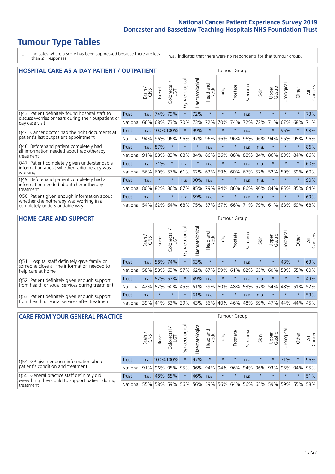# **Tumour Type Tables**

\* Indicates where a score has been suppressed because there are less than 21 responses.

n.a. Indicates that there were no respondents for that tumour group.

| <b>HOSPITAL CARE AS A DAY PATIENT / OUTPATIENT</b>                                                                       |              |       |               |                                 |                |                |                         |         |          | Tumour Group |         |                 |            |         |                |
|--------------------------------------------------------------------------------------------------------------------------|--------------|-------|---------------|---------------------------------|----------------|----------------|-------------------------|---------|----------|--------------|---------|-----------------|------------|---------|----------------|
|                                                                                                                          |              | Brain | <b>Breast</b> | ╮<br>olorectal<br>LGT<br>$\cup$ | Gynaecological | Haematological | ead and<br>Neck<br>Head | Lung    | Prostate | Sarcoma      | Skin    | Upper<br>Gastro | Urological | Other   | All<br>Cancers |
| Q43. Patient definitely found hospital staff to<br>discuss worries or fears during their outpatient or<br>day case visit | <b>Trust</b> | n.a.  | 74%           | 79%                             | $^\star$       | 72%            | $\star$                 | $\star$ | $\star$  | n.a.         | $\star$ | $\star$         | $\star$    | $\star$ | 73%            |
|                                                                                                                          | National     | 66%   | 68%           | 73%                             | 70%            | 73%            | 72%                     | 70%     | 74%      | 72%          | 72%     | 71%             | 67%        | 68%     | 71%            |
| Q44. Cancer doctor had the right documents at<br>patient's last outpatient appointment                                   | Trust        |       | n.a. 100%100% |                                 |                | 99%            | $\star$                 | $\star$ | $\star$  | n.a.         |         | $\star$         | 96%        | $\star$ | 98%            |
|                                                                                                                          | National     | 94%   | 96%           | 96%                             | 96%            | 97%            | 96%                     | 96%     | 96%      | 96%          | 96%     | 94%             | 96%        | 95%     | 96%            |
| Q46. Beforehand patient completely had                                                                                   | Trust        | n.a.  | 87%           | $\star$                         | $\star$        | $\star$        | n.a.                    | $\star$ | $\star$  | n.a.         | n.a.    | $\star$         | $\star$    | $\star$ | 86%            |
| all information needed about radiotherapy<br>treatment                                                                   | National     | 91%   | 88%           | 83%                             | 88%            | 84%            | 86%                     | 86%     | 88%      | 88%          | 84%     | 86%             | 83%        | 84%     | 86%            |
| Q47. Patient completely given understandable                                                                             | Trust        | n.a.  | 71%           | $\star$                         | n.a.           | $\star$        | n.a.                    | $\star$ | $\star$  | n.a.         | n.a.    | $\star$         | $\star$    | $\star$ | 60%            |
| information about whether radiotherapy was<br>working                                                                    | National     | 56%   | 60%           | 57%                             | 61%            | 62%            | 63%                     | 59%     | 60%      | 67%          | 57%     | 52%             | 59%        | 59%     | 60%            |
| Q49. Beforehand patient completely had all                                                                               | Trust        | n.a.  | $\star$       | $\star$                         | n.a.           | 90%            | n.a.                    | $\star$ | $\star$  | n.a.         | n.a.    | $\star$         | $^\star$   | $\star$ | 90%            |
| information needed about chemotherapy<br>treatment                                                                       | National     | 80%   | 82%           | 86%                             | 87%            | 85%            | 79%                     | 84%     | 86%      | 86%          | 90%     | 84%             | 85%        | 85%     | 84%            |
| Q50. Patient given enough information about<br>whether chemotherapy was working in a                                     | Trust        | n.a.  | $\star$       | $\star$                         | n.a.           | 59%            | n.a.                    | $\star$ | $\star$  | n.a.         | n.a.    | $\star$         |            | $\star$ | 69%            |
| completely understandable way                                                                                            | National     | 54%   | 62%           | 64%                             | 68%            | 75%            |                         | 57% 67% | 66%      | 71%          | 79%     | 61%             | 68%        | 69%     | 68%            |

#### **HOME CARE AND SUPPORT** Tumour Group

|                                                                                                                   |              | Brain | <b>Breast</b> | Colorectal<br>LGT | ᢛ<br>Gynaecologic | Haematological | ad and<br>Neck<br>Head | <b>Dung</b> | Prostate | Sarcoma | Skin    | Upper<br>Gastro | Urological | Other   | All<br>Cancers |
|-------------------------------------------------------------------------------------------------------------------|--------------|-------|---------------|-------------------|-------------------|----------------|------------------------|-------------|----------|---------|---------|-----------------|------------|---------|----------------|
| Q51. Hospital staff definitely gave family or<br>someone close all the information needed to<br>help care at home | <b>Trust</b> | n.a.  | 58%           | 74%               | $\star$           | 63%            | $\star$                | $\star$     | $\star$  | n.a.    | $\star$ | $\star$         | 48%        | $\star$ | 63%            |
|                                                                                                                   | National     | 58%   | 58%           | 63%               | 57%               | 62%            | 67%                    | 59%         | 61%      |         | 62% 65% | 60%             | 59%        | 55%     | 60%            |
| Q52. Patient definitely given enough support<br>from health or social services during treatment                   | Trust        | n.a.  | 52% 57%       |                   | $\star$           | 49%            | n.a.                   | $\star$     | $\star$  | n.a.    | n.a.    | $\star$         | $\star$    | $\star$ | 49%            |
|                                                                                                                   | National     | 42%   | 52%           | 60%               |                   | 45% 51%        | 59%                    | 50%         | 48%      |         | 53% 57% | 54%             | 48% 51%    |         | 52%            |
| Q53. Patient definitely given enough support                                                                      | Trust        | n.a.  | $\star$       | $\star$           | $\star$           | 61%            | n.a.                   | $\star$     | $\star$  | n.a.    | n.a.    | $\star$         | $\star$    | $\star$ | 53%            |
| from health or social services after treatment                                                                    | National     | 39%   | 41%           | 53%               | 39%               | 43%            | 56%                    | 40%         | 46%      |         | 48% 59% | 47%             | 44%        | 44%     | 45%            |

| <b>CARE FROM YOUR GENERAL PRACTICE</b>                                                                     |              |        |               |                        |               |                |                  |         | <b>Tumour Group</b> |         |                                     |                 |                       |         |                |
|------------------------------------------------------------------------------------------------------------|--------------|--------|---------------|------------------------|---------------|----------------|------------------|---------|---------------------|---------|-------------------------------------|-----------------|-----------------------|---------|----------------|
|                                                                                                            |              | Brain, | <b>Breast</b> | ╮<br>Colorectal<br>LGT | Gynaecologica | Haematological | Head and<br>Neck | Lung    | Prostate            | Sarcoma | Skin                                | Upper<br>Gastro | $\sigma$<br>Urologica | Other   | All<br>Cancers |
| Q54. GP given enough information about<br>patient's condition and treatment                                | Trust        | n.a.   | 100%100%      |                        | $\star$       | 97%            | $\star$          | $\star$ | $\star$             | n.a.    | $\star$                             | $\star$         | 71%                   | $\ast$  | 96%            |
|                                                                                                            | National 91% |        |               |                        | 96% 95% 95%   |                | 96% 94% 94%      |         | 96%                 |         | 94% 96% 93% 95% 94%                 |                 |                       |         | 95%            |
| Q55. General practice staff definitely did<br>everything they could to support patient during<br>treatment | <b>Trust</b> | n.a.   |               | 48% 65%                | $\star$       | 46%            | n.a.             | $\star$ | $\star$             | n.a.    | $\star$                             | $\star$         | $\star$               | $\star$ | 51%            |
|                                                                                                            | National 55% |        |               |                        | 58% 59% 56%   |                |                  |         |                     |         | 56% 59% 56% 64% 56% 65% 59% 59% 55% |                 |                       |         | 58%            |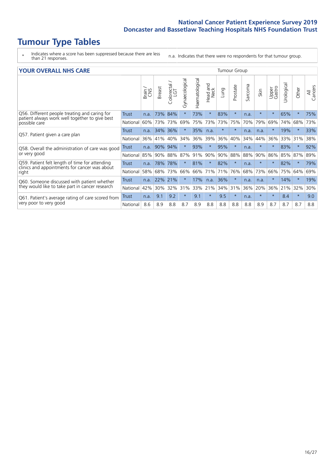# **Tumour Type Tables**

- \* Indicates where a score has been suppressed because there are less than 21 responses.
- n.a. Indicates that there were no respondents for that tumour group.

| <b>YOUR OVERALL NHS CARE</b> |
|------------------------------|
|------------------------------|

| <b>YOUR OVERALL NHS CARE</b>                                    |          |       |               |                   |                |                |                         |          | <b>Tumour Group</b> |              |         |                 |            |          |                |
|-----------------------------------------------------------------|----------|-------|---------------|-------------------|----------------|----------------|-------------------------|----------|---------------------|--------------|---------|-----------------|------------|----------|----------------|
|                                                                 |          | Brain | <b>Breast</b> | Colorectal<br>LGT | Gynaecological | Haematological | ead and<br>Neck<br>Head | Lung     | Prostate            | arcoma<br>ιñ | Skin    | Upper<br>Gastro | Urological | Other    | All<br>Cancers |
| Q56. Different people treating and caring for                   | Trust    | n.a.  | 73%           | 84%               | $\star$        | 73%            | $\star$                 | 83%      | $\star$             | n.a.         |         | $\star$         | 65%        | $\star$  | 75%            |
| patient always work well together to give best<br>possible care | National | 60%   | 73%           | 73%               | 69%            | 75%            | 73%                     | 73%      | 75%                 | 70%          | 79%     | 69%             | 74%        | 68%      | 73%            |
| Q57. Patient given a care plan                                  | Trust    | n.a.  | 34%           | 36%               |                | 35%            | n.a.                    | $^\star$ | $\star$             | n.a.         | n.a.    |                 | 19%        | $^\star$ | 33%            |
|                                                                 | National | 36%   | 41%           | 40%               | 34%            | 36%            | 39%                     | 36%      | 40%                 | 34%          | 44%     | 36%             | 33%        | 31%      | 38%            |
| Q58. Overall the administration of care was good                | Trust    | n.a.  | 90%           | 94%               |                | 93%            | $\star$                 | 95%      | $\star$             | n.a.         | $\star$ | $\star$         | 83%        | $\star$  | 92%            |
| or very good                                                    | National | 85%   | 90%           | 88%               | 87%            | 91%            | 90%                     | 90%      | 88%                 | 88%          | 90%     | 86%             | 85%        | 87%      | 89%            |
| Q59. Patient felt length of time for attending                  | Trust    | n.a.  | 78%           | 78%               |                | 81%            | $\star$                 | 82%      | $\star$             | n.a.         |         | $\star$         | 82%        | $\star$  | 79%            |
| clinics and appointments for cancer was about<br>right          | National | 58%   | 68%           | 73%               | 66%            | 66%            | 71%                     | 71%      | 76%                 | 68%          | 73%     | 66%             | 75%        | 64%      | 69%            |
| Q60. Someone discussed with patient whether                     | Trust    | n.a.  | 22%           | 21%               |                | 17%            | n.a.                    | 36%      | $\star$             | n.a.         | n.a.    |                 | 14%        | $\star$  | 19%            |
| they would like to take part in cancer research                 | National | 42%   | 30%           | 32%               | 31%            | 33%            | 21%                     | 34%      | 31%                 | 36%          | 20%     | 36%             | 21%        | 32%      | 30%            |
| Q61. Patient's average rating of care scored from               | Trust    | n.a.  | 9.1           | 9.2               | $\star$        | 9.1            | $\star$                 | 9.5      | $\star$             | n.a.         |         | $\star$         | 8.4        | $\star$  | 9.0            |
| very poor to very good                                          | National | 8.6   | 8.9           | 8.8               | 8.7            | 8.9            | 8.8                     | 8.8      | 8.8                 | 8.8          | 8.9     | 8.7             | 8.7        | 8.7      | 8.8            |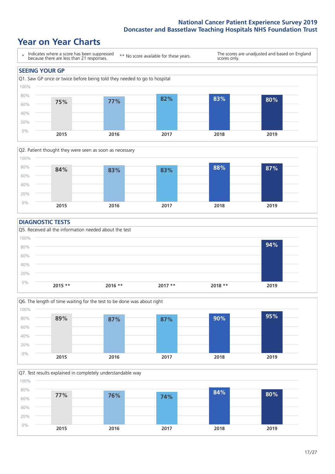### **Year on Year Charts**





#### **DIAGNOSTIC TESTS**





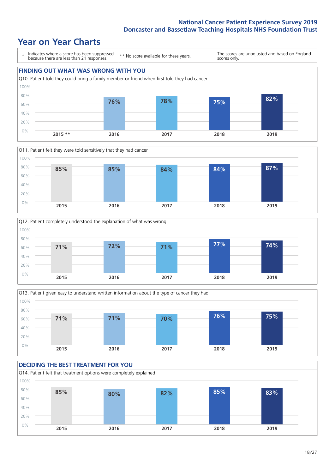### **Year on Year Charts**









#### **DECIDING THE BEST TREATMENT FOR YOU** Q14. Patient felt that treatment options were completely explained 0% 20% 40% 60% 80% 100% **2015 2016 2017 2018 2019 85% 80% 82% 85% 83%**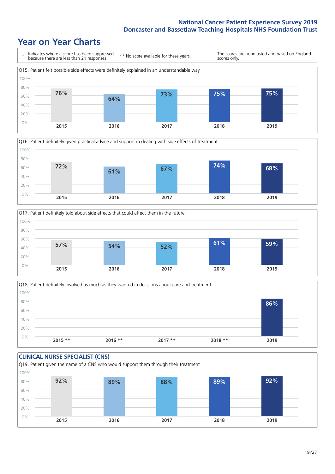### **Year on Year Charts**









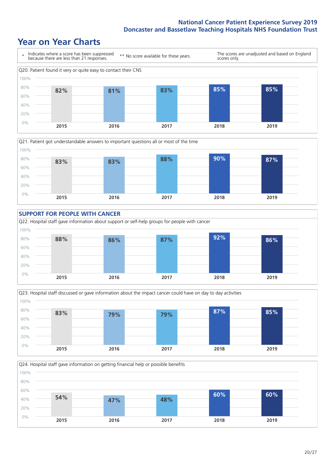### **Year on Year Charts**









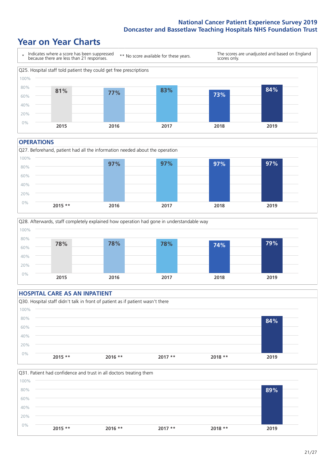### **Year on Year Charts**



#### **OPERATIONS**





#### **HOSPITAL CARE AS AN INPATIENT** Q30. Hospital staff didn't talk in front of patient as if patient wasn't there 0% 20% 40% 60% 80% 100% **2015 \*\* 2016 \*\* 2017 \*\* 2018 \*\* 2019 84%**

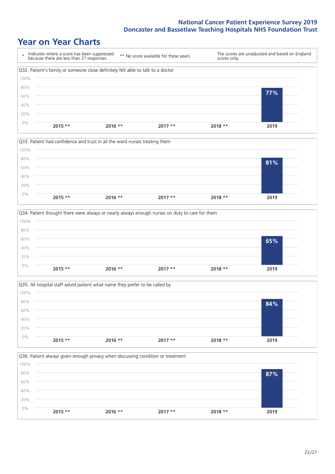### **Year on Year Charts**









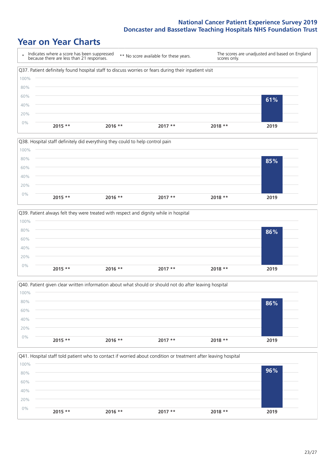### **Year on Year Charts**









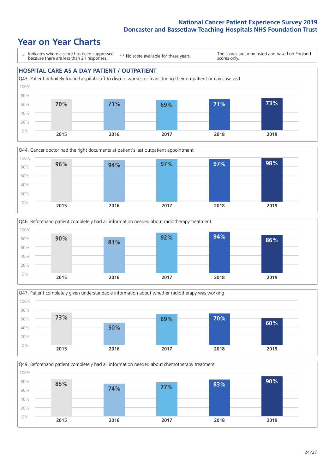### **Year on Year Charts**

\* Indicates where a score has been suppressed because there are less than 21 responses.

\*\* No score available for these years.

The scores are unadjusted and based on England scores only.









Q49. Beforehand patient completely had all information needed about chemotherapy treatment

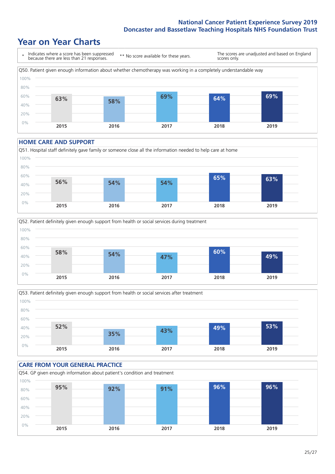### **Year on Year Charts**



#### **HOME CARE AND SUPPORT**







#### **CARE FROM YOUR GENERAL PRACTICE** Q54. GP given enough information about patient's condition and treatment 0% 20% 40% 60% 80% 100% **2015 2016 2017 2018 2019 95% 92% 91% 96% 96%**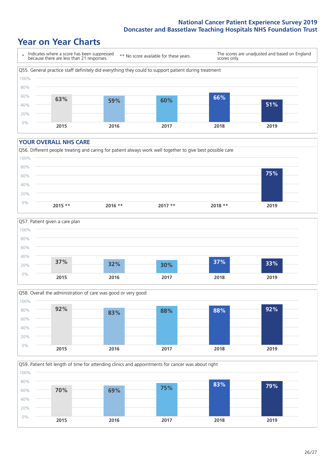### **Year on Year Charts**



#### **YOUR OVERALL NHS CARE**







Q59. Patient felt length of time for attending clinics and appointments for cancer was about right 100%